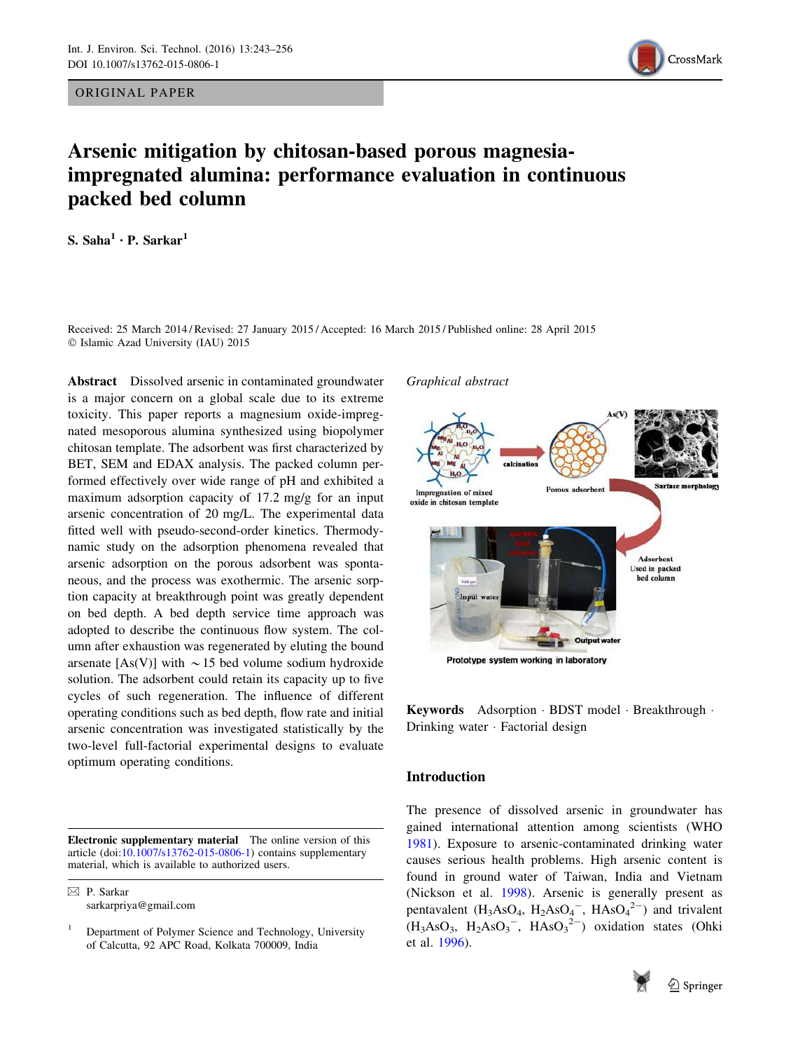ORIGINAL PAPER



# Arsenic mitigation by chitosan-based porous magnesiaimpregnated alumina: performance evaluation in continuous packed bed column

S. Saha $^1 \cdot$  P. Sarkar $^1$ 

Received: 25 March 2014 / Revised: 27 January 2015 / Accepted: 16 March 2015 / Published online: 28 April 2015  $©$  Islamic Azad University (IAU) 2015

Abstract Dissolved arsenic in contaminated groundwater is a major concern on a global scale due to its extreme toxicity. This paper reports a magnesium oxide-impregnated mesoporous alumina synthesized using biopolymer chitosan template. The adsorbent was first characterized by BET, SEM and EDAX analysis. The packed column performed effectively over wide range of pH and exhibited a maximum adsorption capacity of 17.2 mg/g for an input arsenic concentration of 20 mg/L. The experimental data fitted well with pseudo-second-order kinetics. Thermodynamic study on the adsorption phenomena revealed that arsenic adsorption on the porous adsorbent was spontaneous, and the process was exothermic. The arsenic sorption capacity at breakthrough point was greatly dependent on bed depth. A bed depth service time approach was adopted to describe the continuous flow system. The column after exhaustion was regenerated by eluting the bound arsenate [As(V)] with  $\sim$  15 bed volume sodium hydroxide solution. The adsorbent could retain its capacity up to five cycles of such regeneration. The influence of different operating conditions such as bed depth, flow rate and initial arsenic concentration was investigated statistically by the two-level full-factorial experimental designs to evaluate optimum operating conditions.

Electronic supplementary material The online version of this article (doi:[10.1007/s13762-015-0806-1\)](http://dx.doi.org/10.1007/s13762-015-0806-1) contains supplementary material, which is available to authorized users.

& P. Sarkar sarkarpriya@gmail.com



Prototype system working in laboratory

Keywords Adsorption - BDST model - Breakthrough - Drinking water - Factorial design

# Introduction

Graphical abstract

The presence of dissolved arsenic in groundwater has gained international attention among scientists (WHO [1981](#page-13-0)). Exposure to arsenic-contaminated drinking water causes serious health problems. High arsenic content is found in ground water of Taiwan, India and Vietnam (Nickson et al. [1998](#page-12-0)). Arsenic is generally present as pentavalent  $(H_3AsO_4, H_2AsO_4^-$ ,  $HAsO_4^{2-}$  and trivalent  $(H_3AsO_3, H_2AsO_3^-$ ,  $HAsO_3^{2-}$ ) oxidation states (Ohki et al. [1996\)](#page-12-0).



<sup>1</sup> Department of Polymer Science and Technology, University of Calcutta, 92 APC Road, Kolkata 700009, India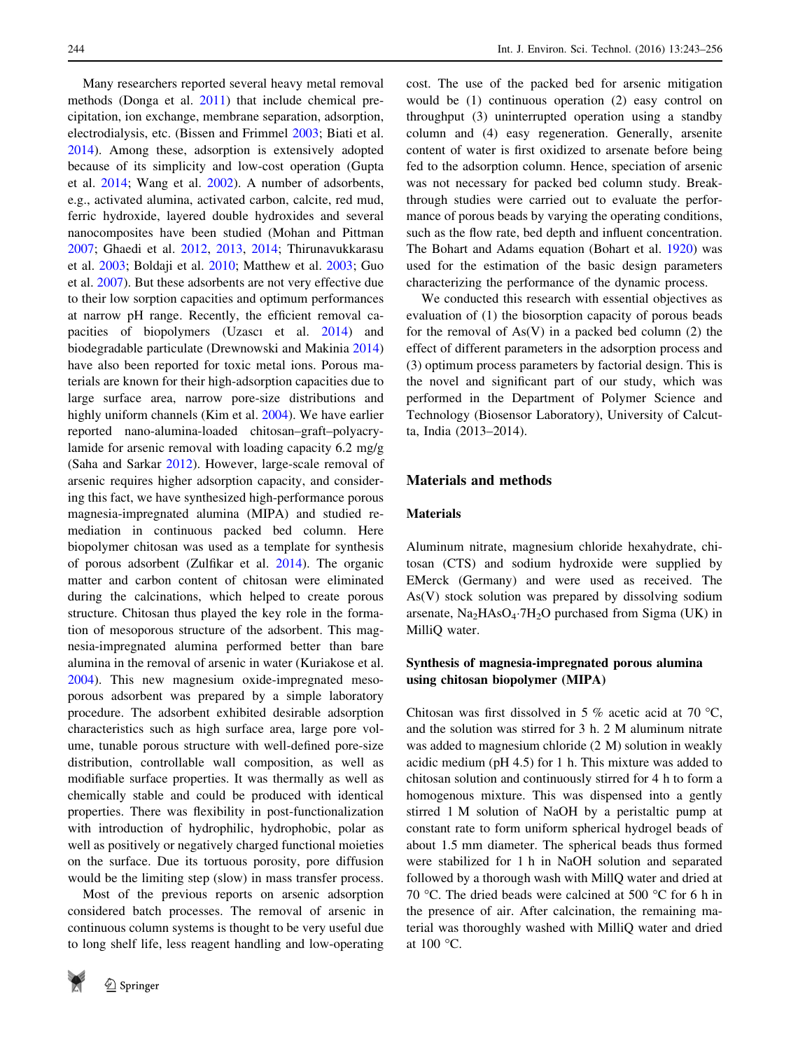Many researchers reported several heavy metal removal methods (Donga et al. [2011](#page-12-0)) that include chemical precipitation, ion exchange, membrane separation, adsorption, electrodialysis, etc. (Bissen and Frimmel [2003](#page-12-0); Biati et al. [2014\)](#page-12-0). Among these, adsorption is extensively adopted because of its simplicity and low-cost operation (Gupta et al. [2014](#page-12-0); Wang et al. [2002\)](#page-12-0). A number of adsorbents, e.g., activated alumina, activated carbon, calcite, red mud, ferric hydroxide, layered double hydroxides and several nanocomposites have been studied (Mohan and Pittman [2007;](#page-12-0) Ghaedi et al. [2012](#page-12-0), [2013,](#page-12-0) [2014](#page-12-0); Thirunavukkarasu et al. [2003;](#page-12-0) Boldaji et al. [2010](#page-12-0); Matthew et al. [2003;](#page-12-0) Guo et al. [2007](#page-12-0)). But these adsorbents are not very effective due to their low sorption capacities and optimum performances at narrow pH range. Recently, the efficient removal capacities of biopolymers (Uzascı et al. [2014](#page-12-0)) and biodegradable particulate (Drewnowski and Makinia [2014\)](#page-12-0) have also been reported for toxic metal ions. Porous materials are known for their high-adsorption capacities due to large surface area, narrow pore-size distributions and highly uniform channels (Kim et al. [2004](#page-12-0)). We have earlier reported nano-alumina-loaded chitosan–graft–polyacrylamide for arsenic removal with loading capacity 6.2 mg/g (Saha and Sarkar [2012](#page-12-0)). However, large-scale removal of arsenic requires higher adsorption capacity, and considering this fact, we have synthesized high-performance porous magnesia-impregnated alumina (MIPA) and studied remediation in continuous packed bed column. Here biopolymer chitosan was used as a template for synthesis of porous adsorbent (Zulfikar et al. [2014\)](#page-13-0). The organic matter and carbon content of chitosan were eliminated during the calcinations, which helped to create porous structure. Chitosan thus played the key role in the formation of mesoporous structure of the adsorbent. This magnesia-impregnated alumina performed better than bare alumina in the removal of arsenic in water (Kuriakose et al. [2004\)](#page-12-0). This new magnesium oxide-impregnated mesoporous adsorbent was prepared by a simple laboratory procedure. The adsorbent exhibited desirable adsorption characteristics such as high surface area, large pore volume, tunable porous structure with well-defined pore-size distribution, controllable wall composition, as well as modifiable surface properties. It was thermally as well as chemically stable and could be produced with identical properties. There was flexibility in post-functionalization with introduction of hydrophilic, hydrophobic, polar as well as positively or negatively charged functional moieties on the surface. Due its tortuous porosity, pore diffusion would be the limiting step (slow) in mass transfer process.

Most of the previous reports on arsenic adsorption considered batch processes. The removal of arsenic in continuous column systems is thought to be very useful due to long shelf life, less reagent handling and low-operating



cost. The use of the packed bed for arsenic mitigation would be (1) continuous operation (2) easy control on throughput (3) uninterrupted operation using a standby column and (4) easy regeneration. Generally, arsenite content of water is first oxidized to arsenate before being fed to the adsorption column. Hence, speciation of arsenic was not necessary for packed bed column study. Breakthrough studies were carried out to evaluate the performance of porous beads by varying the operating conditions, such as the flow rate, bed depth and influent concentration. The Bohart and Adams equation (Bohart et al. [1920\)](#page-12-0) was used for the estimation of the basic design parameters characterizing the performance of the dynamic process.

We conducted this research with essential objectives as evaluation of (1) the biosorption capacity of porous beads for the removal of  $As(V)$  in a packed bed column (2) the effect of different parameters in the adsorption process and (3) optimum process parameters by factorial design. This is the novel and significant part of our study, which was performed in the Department of Polymer Science and Technology (Biosensor Laboratory), University of Calcutta, India (2013–2014).

# Materials and methods

## Materials

Aluminum nitrate, magnesium chloride hexahydrate, chitosan (CTS) and sodium hydroxide were supplied by EMerck (Germany) and were used as received. The As(V) stock solution was prepared by dissolving sodium arsenate,  $Na<sub>2</sub>HAsO<sub>4</sub>·7H<sub>2</sub>O$  purchased from Sigma (UK) in MilliQ water.

# Synthesis of magnesia-impregnated porous alumina using chitosan biopolymer (MIPA)

Chitosan was first dissolved in 5 % acetic acid at 70 °C, and the solution was stirred for 3 h. 2 M aluminum nitrate was added to magnesium chloride (2 M) solution in weakly acidic medium (pH 4.5) for 1 h. This mixture was added to chitosan solution and continuously stirred for 4 h to form a homogenous mixture. This was dispensed into a gently stirred 1 M solution of NaOH by a peristaltic pump at constant rate to form uniform spherical hydrogel beads of about 1.5 mm diameter. The spherical beads thus formed were stabilized for 1 h in NaOH solution and separated followed by a thorough wash with MillQ water and dried at 70 °C. The dried beads were calcined at 500 °C for 6 h in the presence of air. After calcination, the remaining material was thoroughly washed with MilliQ water and dried at 100 °C.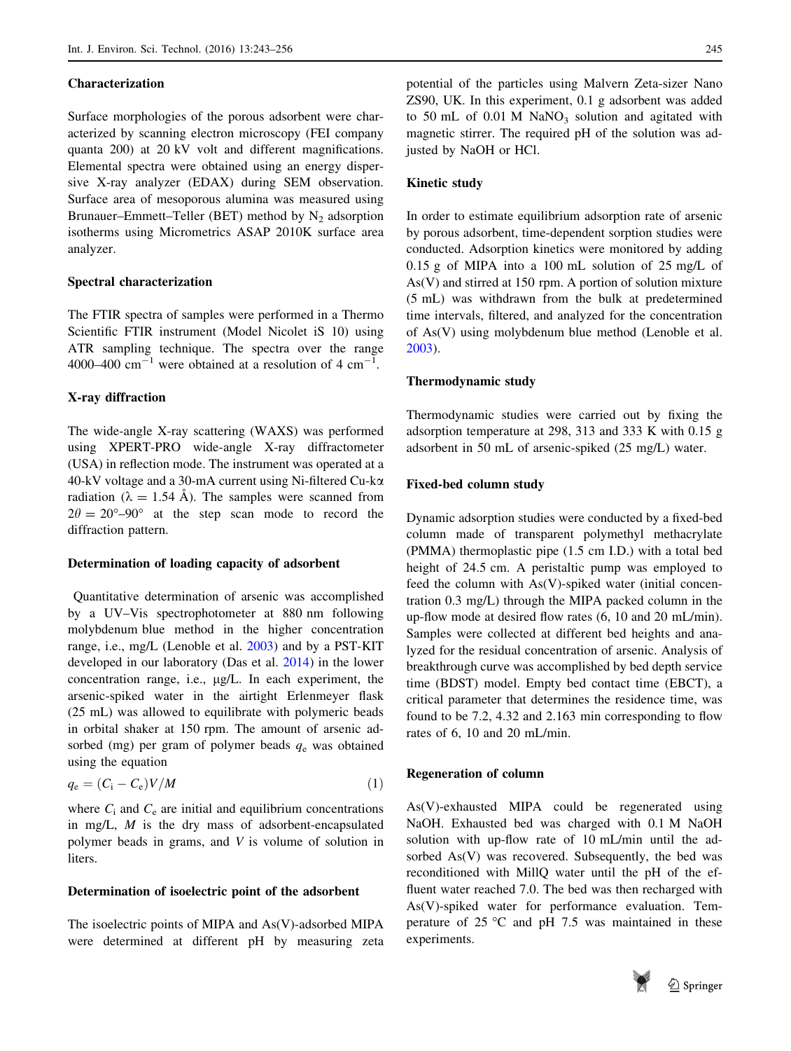## Characterization

Surface morphologies of the porous adsorbent were characterized by scanning electron microscopy (FEI company quanta 200) at 20 kV volt and different magnifications. Elemental spectra were obtained using an energy dispersive X-ray analyzer (EDAX) during SEM observation. Surface area of mesoporous alumina was measured using Brunauer–Emmett–Teller (BET) method by  $N_2$  adsorption isotherms using Micrometrics ASAP 2010K surface area analyzer.

## Spectral characterization

The FTIR spectra of samples were performed in a Thermo Scientific FTIR instrument (Model Nicolet iS 10) using ATR sampling technique. The spectra over the range 4000–400  $\text{cm}^{-1}$  were obtained at a resolution of 4  $\text{cm}^{-1}$ .

## X-ray diffraction

The wide-angle X-ray scattering (WAXS) was performed using XPERT-PRO wide-angle X-ray diffractometer (USA) in reflection mode. The instrument was operated at a 40-kV voltage and a 30-mA current using Ni-filtered Cu-ka radiation ( $\lambda = 1.54$  Å). The samples were scanned from  $2\theta = 20^{\circ} - 90^{\circ}$  at the step scan mode to record the diffraction pattern.

## Determination of loading capacity of adsorbent

Quantitative determination of arsenic was accomplished by a UV–Vis spectrophotometer at 880 nm following molybdenum blue method in the higher concentration range, i.e., mg/L (Lenoble et al. [2003](#page-12-0)) and by a PST-KIT developed in our laboratory (Das et al. [2014](#page-12-0)) in the lower concentration range, i.e.,  $\mu$ g/L. In each experiment, the arsenic-spiked water in the airtight Erlenmeyer flask (25 mL) was allowed to equilibrate with polymeric beads in orbital shaker at 150 rpm. The amount of arsenic adsorbed (mg) per gram of polymer beads  $q_e$  was obtained using the equation

$$
q_{\rm e} = (C_{\rm i} - C_{\rm e})V/M \tag{1}
$$

where  $C_i$  and  $C_e$  are initial and equilibrium concentrations in mg/L, M is the dry mass of adsorbent-encapsulated polymer beads in grams, and V is volume of solution in liters.

## Determination of isoelectric point of the adsorbent

The isoelectric points of MIPA and As(V)-adsorbed MIPA were determined at different pH by measuring zeta potential of the particles using Malvern Zeta-sizer Nano ZS90, UK. In this experiment, 0.1 g adsorbent was added to 50 mL of  $0.01$  M NaNO<sub>3</sub> solution and agitated with magnetic stirrer. The required pH of the solution was adjusted by NaOH or HCl.

## Kinetic study

In order to estimate equilibrium adsorption rate of arsenic by porous adsorbent, time-dependent sorption studies were conducted. Adsorption kinetics were monitored by adding 0.15 g of MIPA into a 100 mL solution of 25 mg/L of As(V) and stirred at 150 rpm. A portion of solution mixture (5 mL) was withdrawn from the bulk at predetermined time intervals, filtered, and analyzed for the concentration of As(V) using molybdenum blue method (Lenoble et al. [2003](#page-12-0)).

## Thermodynamic study

Thermodynamic studies were carried out by fixing the adsorption temperature at 298, 313 and 333 K with 0.15 g adsorbent in 50 mL of arsenic-spiked (25 mg/L) water.

#### Fixed-bed column study

Dynamic adsorption studies were conducted by a fixed-bed column made of transparent polymethyl methacrylate (PMMA) thermoplastic pipe (1.5 cm I.D.) with a total bed height of 24.5 cm. A peristaltic pump was employed to feed the column with As(V)-spiked water (initial concentration 0.3 mg/L) through the MIPA packed column in the up-flow mode at desired flow rates (6, 10 and 20 mL/min). Samples were collected at different bed heights and analyzed for the residual concentration of arsenic. Analysis of breakthrough curve was accomplished by bed depth service time (BDST) model. Empty bed contact time (EBCT), a critical parameter that determines the residence time, was found to be 7.2, 4.32 and 2.163 min corresponding to flow rates of 6, 10 and 20 mL/min.

## Regeneration of column

As(V)-exhausted MIPA could be regenerated using NaOH. Exhausted bed was charged with 0.1 M NaOH solution with up-flow rate of 10 mL/min until the adsorbed As(V) was recovered. Subsequently, the bed was reconditioned with MillQ water until the pH of the effluent water reached 7.0. The bed was then recharged with As(V)-spiked water for performance evaluation. Temperature of  $25^{\circ}$ C and pH 7.5 was maintained in these experiments.

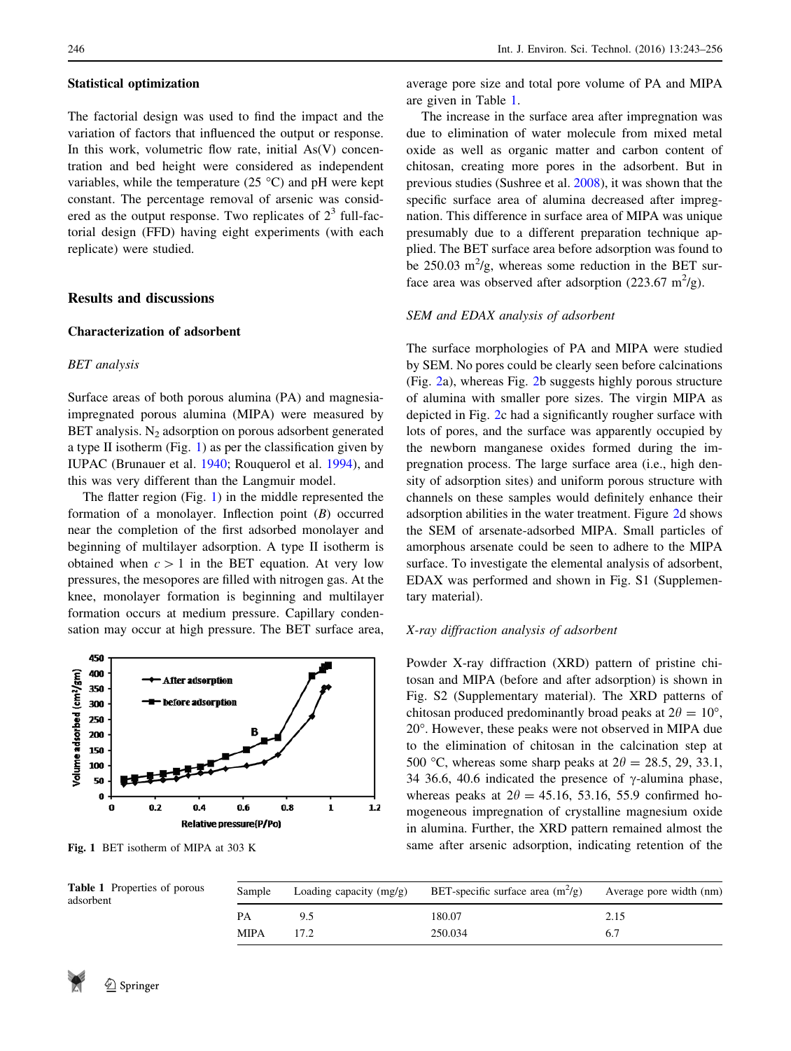#### <span id="page-3-0"></span>Statistical optimization

The factorial design was used to find the impact and the variation of factors that influenced the output or response. In this work, volumetric flow rate, initial  $As(V)$  concentration and bed height were considered as independent variables, while the temperature (25 $\degree$ C) and pH were kept constant. The percentage removal of arsenic was considered as the output response. Two replicates of  $2<sup>3</sup>$  full-factorial design (FFD) having eight experiments (with each replicate) were studied.

# Results and discussions

## Characterization of adsorbent

# BET analysis

Surface areas of both porous alumina (PA) and magnesiaimpregnated porous alumina (MIPA) were measured by BET analysis.  $N_2$  adsorption on porous adsorbent generated a type II isotherm (Fig. 1) as per the classification given by IUPAC (Brunauer et al. [1940](#page-12-0); Rouquerol et al. [1994\)](#page-12-0), and this was very different than the Langmuir model.

The flatter region (Fig. 1) in the middle represented the formation of a monolayer. Inflection point  $(B)$  occurred near the completion of the first adsorbed monolayer and beginning of multilayer adsorption. A type II isotherm is obtained when  $c > 1$  in the BET equation. At very low pressures, the mesopores are filled with nitrogen gas. At the knee, monolayer formation is beginning and multilayer formation occurs at medium pressure. Capillary condensation may occur at high pressure. The BET surface area,



average pore size and total pore volume of PA and MIPA are given in Table 1.

The increase in the surface area after impregnation was due to elimination of water molecule from mixed metal oxide as well as organic matter and carbon content of chitosan, creating more pores in the adsorbent. But in previous studies (Sushree et al. [2008](#page-12-0)), it was shown that the specific surface area of alumina decreased after impregnation. This difference in surface area of MIPA was unique presumably due to a different preparation technique applied. The BET surface area before adsorption was found to be 250.03  $\mathrm{m}^2/\mathrm{g}$ , whereas some reduction in the BET surface area was observed after adsorption (223.67 m<sup>2</sup>/g).

#### SEM and EDAX analysis of adsorbent

The surface morphologies of PA and MIPA were studied by SEM. No pores could be clearly seen before calcinations (Fig. [2a](#page-4-0)), whereas Fig. [2](#page-4-0)b suggests highly porous structure of alumina with smaller pore sizes. The virgin MIPA as depicted in Fig. [2](#page-4-0)c had a significantly rougher surface with lots of pores, and the surface was apparently occupied by the newborn manganese oxides formed during the impregnation process. The large surface area (i.e., high density of adsorption sites) and uniform porous structure with channels on these samples would definitely enhance their adsorption abilities in the water treatment. Figure [2d](#page-4-0) shows the SEM of arsenate-adsorbed MIPA. Small particles of amorphous arsenate could be seen to adhere to the MIPA surface. To investigate the elemental analysis of adsorbent, EDAX was performed and shown in Fig. S1 (Supplementary material).

## X-ray diffraction analysis of adsorbent

Powder X-ray diffraction (XRD) pattern of pristine chitosan and MIPA (before and after adsorption) is shown in Fig. S2 (Supplementary material). The XRD patterns of chitosan produced predominantly broad peaks at  $2\theta = 10^{\circ}$ , 20. However, these peaks were not observed in MIPA due to the elimination of chitosan in the calcination step at 500 °C, whereas some sharp peaks at  $2\theta = 28.5, 29, 33.1,$ 34 36.6, 40.6 indicated the presence of  $\gamma$ -alumina phase, whereas peaks at  $2\theta = 45.16, 53.16, 55.9$  confirmed homogeneous impregnation of crystalline magnesium oxide in alumina. Further, the XRD pattern remained almost the Fig. 1 BET isotherm of MIPA at 303 K same after arsenic adsorption, indicating retention of the

| Properties of porous | Sample      | Loading capacity $(mg/g)$ | BET-specific surface area $(m^2/g)$ | Average pore width (nm) |
|----------------------|-------------|---------------------------|-------------------------------------|-------------------------|
|                      |             |                           | 180.07                              | 2.15                    |
|                      | <b>MIPA</b> |                           | 250.034                             |                         |

Table 1 adsorbent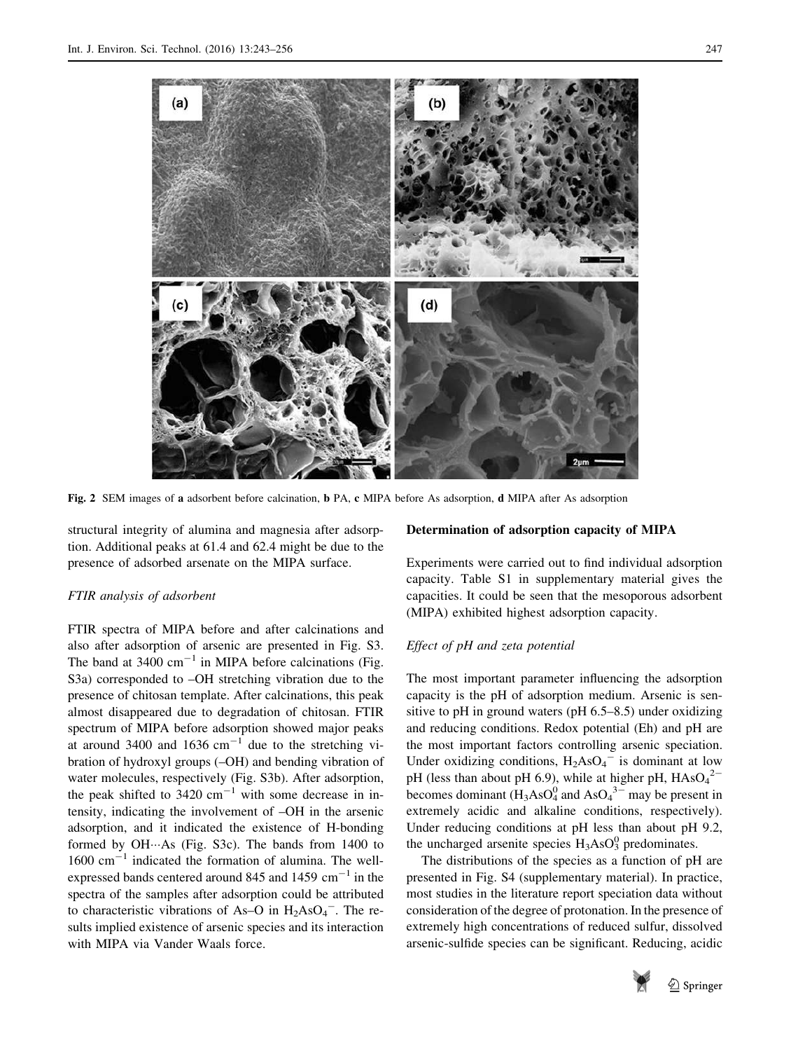<span id="page-4-0"></span>

Fig. 2 SEM images of a adsorbent before calcination, b PA, c MIPA before As adsorption, d MIPA after As adsorption

structural integrity of alumina and magnesia after adsorption. Additional peaks at 61.4 and 62.4 might be due to the presence of adsorbed arsenate on the MIPA surface.

## FTIR analysis of adsorbent

FTIR spectra of MIPA before and after calcinations and also after adsorption of arsenic are presented in Fig. S3. The band at  $3400 \text{ cm}^{-1}$  in MIPA before calcinations (Fig. S3a) corresponded to –OH stretching vibration due to the presence of chitosan template. After calcinations, this peak almost disappeared due to degradation of chitosan. FTIR spectrum of MIPA before adsorption showed major peaks at around 3400 and 1636  $cm^{-1}$  due to the stretching vibration of hydroxyl groups (–OH) and bending vibration of water molecules, respectively (Fig. S3b). After adsorption, the peak shifted to  $3420 \text{ cm}^{-1}$  with some decrease in intensity, indicating the involvement of –OH in the arsenic adsorption, and it indicated the existence of H-bonding formed by OH…As (Fig. S3c). The bands from 1400 to 1600 cm<sup>-1</sup> indicated the formation of alumina. The wellexpressed bands centered around 845 and 1459  $\text{cm}^{-1}$  in the spectra of the samples after adsorption could be attributed to characteristic vibrations of As-O in  $H_2AsO_4$ <sup>-</sup>. The results implied existence of arsenic species and its interaction with MIPA via Vander Waals force.

## Determination of adsorption capacity of MIPA

Experiments were carried out to find individual adsorption capacity. Table S1 in supplementary material gives the capacities. It could be seen that the mesoporous adsorbent (MIPA) exhibited highest adsorption capacity.

## Effect of pH and zeta potential

The most important parameter influencing the adsorption capacity is the pH of adsorption medium. Arsenic is sensitive to pH in ground waters (pH 6.5–8.5) under oxidizing and reducing conditions. Redox potential (Eh) and pH are the most important factors controlling arsenic speciation. Under oxidizing conditions,  $H_2AsO_4$ <sup>-</sup> is dominant at low pH (less than about pH 6.9), while at higher pH,  $HAsO<sub>4</sub><sup>2</sup>$ becomes dominant  $(H_3AsO<sub>4</sub><sup>0</sup>$  and As $O<sub>4</sub><sup>3–</sup>$  may be present in extremely acidic and alkaline conditions, respectively). Under reducing conditions at pH less than about pH 9.2, the uncharged arsenite species  $H_3AsO_3^0$  predominates.

The distributions of the species as a function of pH are presented in Fig. S4 (supplementary material). In practice, most studies in the literature report speciation data without consideration of the degree of protonation. In the presence of extremely high concentrations of reduced sulfur, dissolved arsenic-sulfide species can be significant. Reducing, acidic

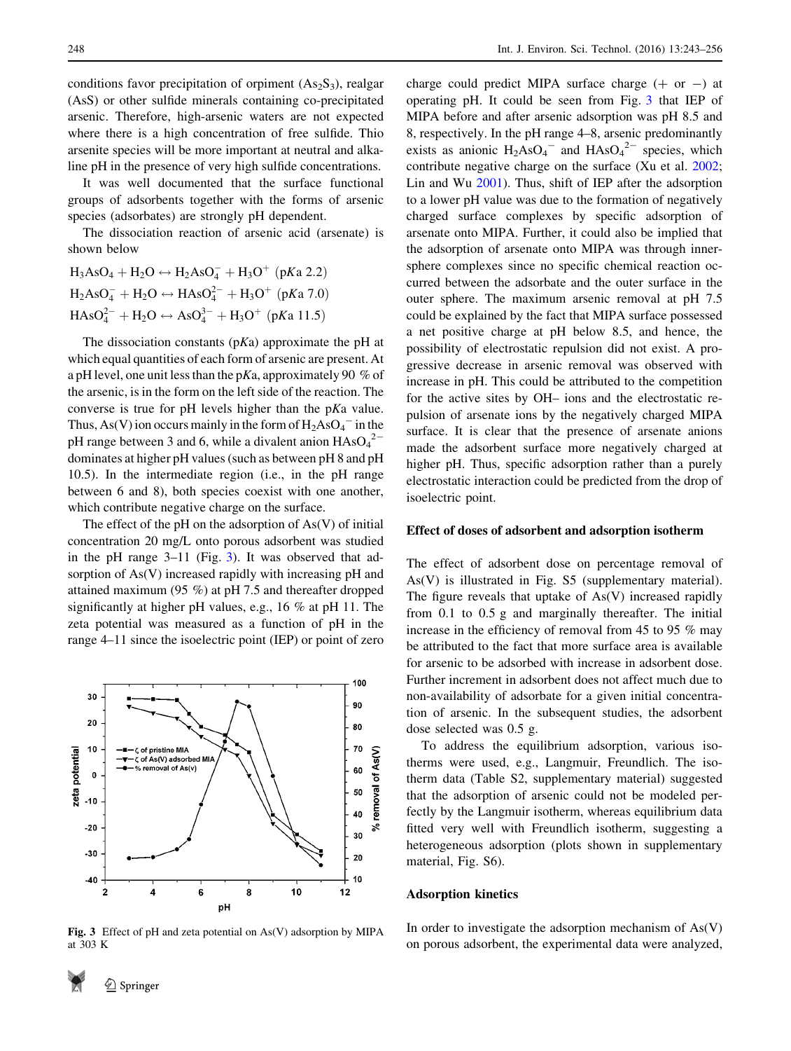conditions favor precipitation of orpiment  $(As_2S_3)$ , realgar (AsS) or other sulfide minerals containing co-precipitated arsenic. Therefore, high-arsenic waters are not expected where there is a high concentration of free sulfide. Thio arsenite species will be more important at neutral and alkaline pH in the presence of very high sulfide concentrations.

It was well documented that the surface functional groups of adsorbents together with the forms of arsenic species (adsorbates) are strongly pH dependent.

The dissociation reaction of arsenic acid (arsenate) is shown below

 $H_3AsO_4 + H_2O \leftrightarrow H_2AsO_4^- + H_3O^+$  (pKa 2.2)  $H_2AsO_4^- + H_2O \leftrightarrow HASO_4^{2-} + H_3O^+$  (pKa 7.0)  $HAsO<sub>4</sub><sup>2</sup> + H<sub>2</sub>O \leftrightarrow AsO<sub>4</sub><sup>3</sup> + H<sub>3</sub>O<sup>+</sup> (pKa 11.5)$ 

The dissociation constants  $(pKa)$  approximate the pH at which equal quantities of each form of arsenic are present. At a pH level, one unit less than the pKa, approximately 90 % of the arsenic, is in the form on the left side of the reaction. The converse is true for pH levels higher than the pKa value. Thus, As(V) ion occurs mainly in the form of  $H_2AsO_4$ <sup>-</sup> in the pH range between 3 and 6, while a divalent anion  $HAsO<sub>4</sub><sup>2</sup>$ dominates at higher pH values (such as between pH 8 and pH 10.5). In the intermediate region (i.e., in the pH range between 6 and 8), both species coexist with one another, which contribute negative charge on the surface.

The effect of the pH on the adsorption of  $As(V)$  of initial concentration 20 mg/L onto porous adsorbent was studied in the pH range 3–11 (Fig. 3). It was observed that adsorption of As(V) increased rapidly with increasing pH and attained maximum (95 %) at pH 7.5 and thereafter dropped significantly at higher pH values, e.g., 16 % at pH 11. The zeta potential was measured as a function of pH in the range 4–11 since the isoelectric point (IEP) or point of zero



Fig. 3 Effect of pH and zeta potential on As(V) adsorption by MIPA at 303 K

charge could predict MIPA surface charge  $(+)$  or  $-)$  at operating pH. It could be seen from Fig. 3 that IEP of MIPA before and after arsenic adsorption was pH 8.5 and 8, respectively. In the pH range 4–8, arsenic predominantly exists as anionic  $H_2AsO_4$ <sup>-</sup> and  $HAsO_4$ <sup>2-</sup> species, which contribute negative charge on the surface (Xu et al. [2002](#page-13-0); Lin and Wu [2001\)](#page-12-0). Thus, shift of IEP after the adsorption to a lower pH value was due to the formation of negatively charged surface complexes by specific adsorption of arsenate onto MIPA. Further, it could also be implied that the adsorption of arsenate onto MIPA was through innersphere complexes since no specific chemical reaction occurred between the adsorbate and the outer surface in the outer sphere. The maximum arsenic removal at pH 7.5 could be explained by the fact that MIPA surface possessed a net positive charge at pH below 8.5, and hence, the possibility of electrostatic repulsion did not exist. A progressive decrease in arsenic removal was observed with increase in pH. This could be attributed to the competition for the active sites by OH– ions and the electrostatic repulsion of arsenate ions by the negatively charged MIPA surface. It is clear that the presence of arsenate anions made the adsorbent surface more negatively charged at higher pH. Thus, specific adsorption rather than a purely electrostatic interaction could be predicted from the drop of isoelectric point.

## Effect of doses of adsorbent and adsorption isotherm

The effect of adsorbent dose on percentage removal of As(V) is illustrated in Fig. S5 (supplementary material). The figure reveals that uptake of As(V) increased rapidly from 0.1 to 0.5 g and marginally thereafter. The initial increase in the efficiency of removal from 45 to 95 % may be attributed to the fact that more surface area is available for arsenic to be adsorbed with increase in adsorbent dose. Further increment in adsorbent does not affect much due to non-availability of adsorbate for a given initial concentration of arsenic. In the subsequent studies, the adsorbent dose selected was 0.5 g.

To address the equilibrium adsorption, various isotherms were used, e.g., Langmuir, Freundlich. The isotherm data (Table S2, supplementary material) suggested that the adsorption of arsenic could not be modeled perfectly by the Langmuir isotherm, whereas equilibrium data fitted very well with Freundlich isotherm, suggesting a heterogeneous adsorption (plots shown in supplementary material, Fig. S6).

#### Adsorption kinetics

In order to investigate the adsorption mechanism of  $As(V)$ on porous adsorbent, the experimental data were analyzed,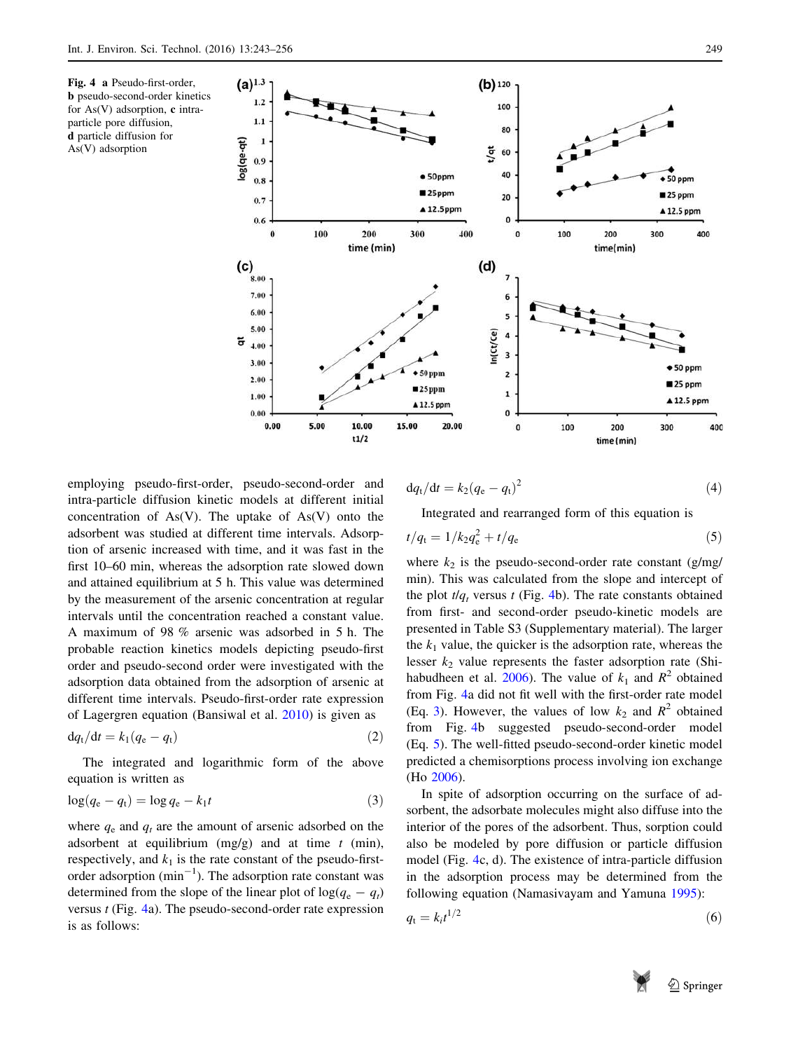<span id="page-6-0"></span>



employing pseudo-first-order, pseudo-second-order and intra-particle diffusion kinetic models at different initial concentration of  $As(V)$ . The uptake of  $As(V)$  onto the adsorbent was studied at different time intervals. Adsorption of arsenic increased with time, and it was fast in the first 10–60 min, whereas the adsorption rate slowed down and attained equilibrium at 5 h. This value was determined by the measurement of the arsenic concentration at regular intervals until the concentration reached a constant value. A maximum of 98 % arsenic was adsorbed in 5 h. The probable reaction kinetics models depicting pseudo-first order and pseudo-second order were investigated with the adsorption data obtained from the adsorption of arsenic at different time intervals. Pseudo-first-order rate expression of Lagergren equation (Bansiwal et al. [2010\)](#page-12-0) is given as

$$
\mathrm{d}q_{\mathrm{t}}/\mathrm{d}t = k_1(q_{\mathrm{e}} - q_{\mathrm{t}}) \tag{2}
$$

The integrated and logarithmic form of the above equation is written as

$$
\log(q_{\rm e} - q_{\rm t}) = \log q_{\rm e} - k_1 t \tag{3}
$$

where  $q_e$  and  $q_t$  are the amount of arsenic adsorbed on the adsorbent at equilibrium  $(mg/g)$  and at time t (min), respectively, and  $k_1$  is the rate constant of the pseudo-firstorder adsorption  $(\text{min}^{-1})$ . The adsorption rate constant was determined from the slope of the linear plot of  $log(q_e - q_t)$ versus  $t$  (Fig. 4a). The pseudo-second-order rate expression is as follows:

$$
\mathrm{d}q_{\mathrm{t}}/\mathrm{d}t = k_2(q_{\mathrm{e}} - q_{\mathrm{t}})^2 \tag{4}
$$

Integrated and rearranged form of this equation is  $t/q_{\rm t}=1/k_2q_{\rm e}^2+t/q_{\rm e}$  (5)

where 
$$
k_2
$$
 is the pseudo-second-order rate constant  $(g/mg/min)$ . This was calculated from the slope and intercept of the plot  $t/q_t$  versus  $t$  (Fig. 4b). The rate constants obtained from first- and second-order pseudo-kinetic models are presented in Table S3 (Supplementary material). The larger the  $k_1$  value, the quicker is the adsorption rate, whereas the lesser  $k_2$  value represents the faster adsorption rate (Shi-habudheen et al. 2006). The value of  $k_1$  and  $R^2$  obtained from Fig. 4a did not fit well with the first-order rate model (Eq. 3). However, the values of low  $k_2$  and  $R^2$  obtained from Fig. 4b suggested pseudo-second-order model (Eq. 5). The well-fitted pseudo-second-order kinetic model predicted a chemisorptions process involving ion exchange (Ho 2006).

In spite of adsorption occurring on the surface of adsorbent, the adsorbate molecules might also diffuse into the interior of the pores of the adsorbent. Thus, sorption could also be modeled by pore diffusion or particle diffusion model (Fig. 4c, d). The existence of intra-particle diffusion in the adsorption process may be determined from the following equation (Namasivayam and Yamuna [1995](#page-12-0)):

$$
q_t = k_t t^{1/2} \tag{6}
$$

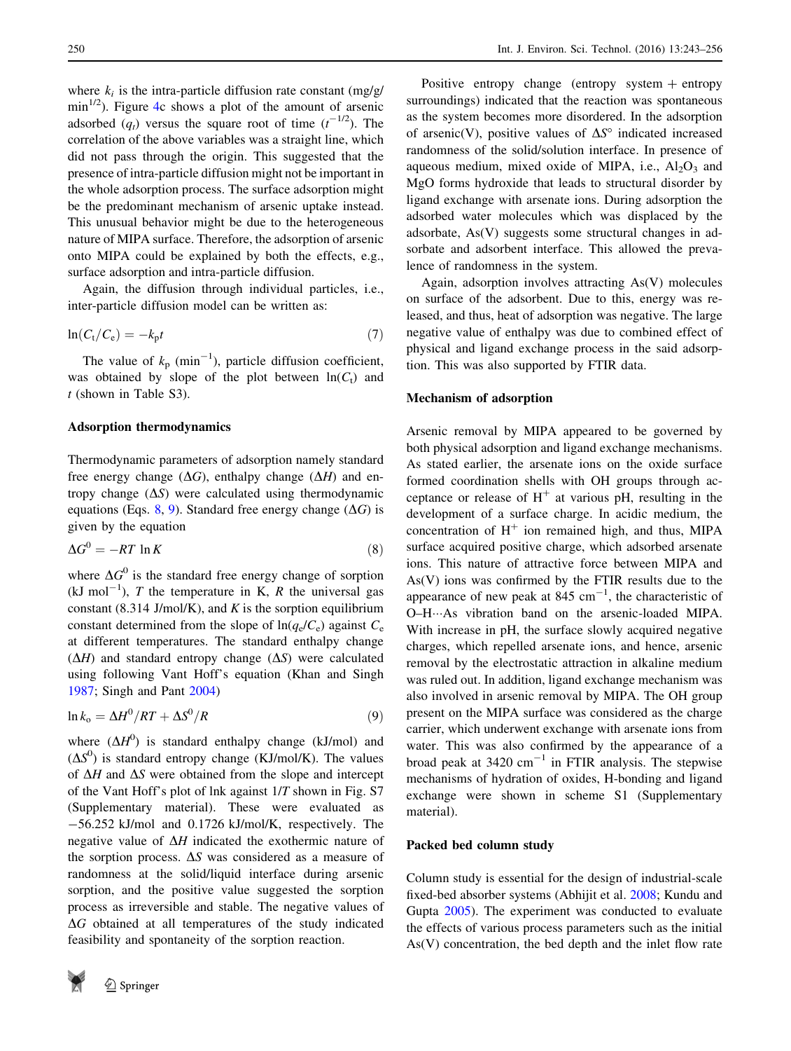where  $k_i$  is the intra-particle diffusion rate constant (mg/g/  $\min^{1/2}$ ). Figure [4](#page-6-0)c shows a plot of the amount of arsenic adsorbed  $(q_t)$  versus the square root of time  $(t^{-1/2})$ . The correlation of the above variables was a straight line, which did not pass through the origin. This suggested that the presence of intra-particle diffusion might not be important in the whole adsorption process. The surface adsorption might be the predominant mechanism of arsenic uptake instead. This unusual behavior might be due to the heterogeneous nature of MIPA surface. Therefore, the adsorption of arsenic onto MIPA could be explained by both the effects, e.g., surface adsorption and intra-particle diffusion.

Again, the diffusion through individual particles, i.e., inter-particle diffusion model can be written as:

$$
\ln(C_t/C_e) = -k_p t \tag{7}
$$

The value of  $k_p$  (min<sup>-1</sup>), particle diffusion coefficient, was obtained by slope of the plot between  $ln(C_t)$  and  $t$  (shown in Table S3).

## Adsorption thermodynamics

Thermodynamic parameters of adsorption namely standard free energy change  $(\Delta G)$ , enthalpy change  $(\Delta H)$  and entropy change  $(\Delta S)$  were calculated using thermodynamic equations (Eqs. 8, 9). Standard free energy change ( $\Delta G$ ) is given by the equation

$$
\Delta G^0 = -RT \ln K \tag{8}
$$

where  $\Delta G^0$  is the standard free energy change of sorption  $(kJ \text{ mol}^{-1})$ , T the temperature in K, R the universal gas constant (8.314 J/mol/K), and  $K$  is the sorption equilibrium constant determined from the slope of  $\ln(q_e/C_e)$  against  $C_e$ at different temperatures. The standard enthalpy change  $(\Delta H)$  and standard entropy change  $(\Delta S)$  were calculated using following Vant Hoff's equation (Khan and Singh [1987;](#page-12-0) Singh and Pant [2004\)](#page-12-0)

$$
\ln k_o = \Delta H^0 / RT + \Delta S^0 / R \tag{9}
$$

where  $(\Delta H^0)$  is standard enthalpy change (kJ/mol) and  $(\Delta S^0)$  is standard entropy change (KJ/mol/K). The values of  $\Delta H$  and  $\Delta S$  were obtained from the slope and intercept of the Vant Hoff's plot of lnk against 1/T shown in Fig. S7 (Supplementary material). These were evaluated as -56.252 kJ/mol and 0.1726 kJ/mol/K, respectively. The negative value of  $\Delta H$  indicated the exothermic nature of the sorption process.  $\Delta S$  was considered as a measure of randomness at the solid/liquid interface during arsenic sorption, and the positive value suggested the sorption process as irreversible and stable. The negative values of  $\Delta G$  obtained at all temperatures of the study indicated feasibility and spontaneity of the sorption reaction.

Positive entropy change (entropy system  $+$  entropy surroundings) indicated that the reaction was spontaneous as the system becomes more disordered. In the adsorption of arsenic(V), positive values of  $\Delta S^{\circ}$  indicated increased randomness of the solid/solution interface. In presence of aqueous medium, mixed oxide of MIPA, i.e.,  $Al_2O_3$  and MgO forms hydroxide that leads to structural disorder by ligand exchange with arsenate ions. During adsorption the adsorbed water molecules which was displaced by the adsorbate, As(V) suggests some structural changes in adsorbate and adsorbent interface. This allowed the prevalence of randomness in the system.

Again, adsorption involves attracting As(V) molecules on surface of the adsorbent. Due to this, energy was released, and thus, heat of adsorption was negative. The large negative value of enthalpy was due to combined effect of physical and ligand exchange process in the said adsorption. This was also supported by FTIR data.

#### Mechanism of adsorption

Arsenic removal by MIPA appeared to be governed by both physical adsorption and ligand exchange mechanisms. As stated earlier, the arsenate ions on the oxide surface formed coordination shells with OH groups through acceptance or release of  $H^+$  at various pH, resulting in the development of a surface charge. In acidic medium, the concentration of  $H^+$  ion remained high, and thus, MIPA surface acquired positive charge, which adsorbed arsenate ions. This nature of attractive force between MIPA and As(V) ions was confirmed by the FTIR results due to the appearance of new peak at  $845 \text{ cm}^{-1}$ , the characteristic of O-H…As vibration band on the arsenic-loaded MIPA. With increase in pH, the surface slowly acquired negative charges, which repelled arsenate ions, and hence, arsenic removal by the electrostatic attraction in alkaline medium was ruled out. In addition, ligand exchange mechanism was also involved in arsenic removal by MIPA. The OH group present on the MIPA surface was considered as the charge carrier, which underwent exchange with arsenate ions from water. This was also confirmed by the appearance of a broad peak at  $3420 \text{ cm}^{-1}$  in FTIR analysis. The stepwise mechanisms of hydration of oxides, H-bonding and ligand exchange were shown in scheme S1 (Supplementary material).

#### Packed bed column study

Column study is essential for the design of industrial-scale fixed-bed absorber systems (Abhijit et al. [2008;](#page-12-0) Kundu and Gupta [2005\)](#page-12-0). The experiment was conducted to evaluate the effects of various process parameters such as the initial As(V) concentration, the bed depth and the inlet flow rate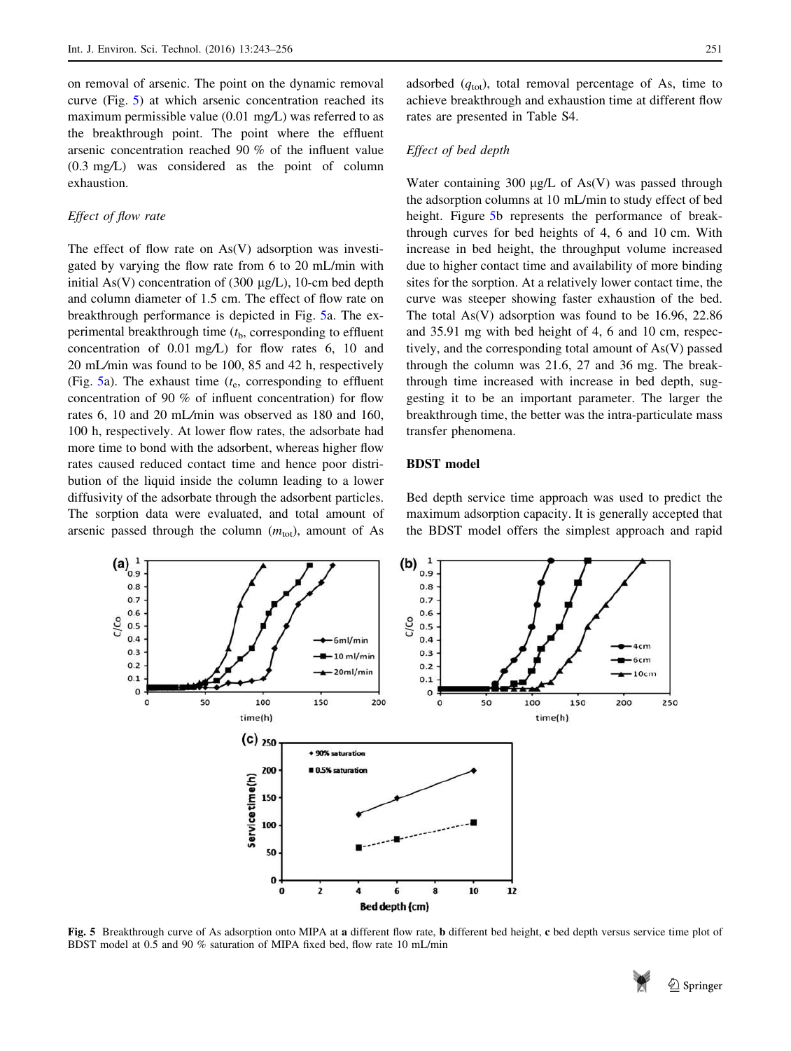<span id="page-8-0"></span>on removal of arsenic. The point on the dynamic removal curve (Fig. 5) at which arsenic concentration reached its maximum permissible value (0.01 mg/L) was referred to as the breakthrough point. The point where the effluent arsenic concentration reached 90 % of the influent value (0.3 mg/L) was considered as the point of column exhaustion.

## Effect of flow rate

The effect of flow rate on As(V) adsorption was investigated by varying the flow rate from 6 to 20 mL/min with initial As(V) concentration of (300  $\mu$ g/L), 10-cm bed depth and column diameter of 1.5 cm. The effect of flow rate on breakthrough performance is depicted in Fig. 5a. The experimental breakthrough time  $(t<sub>b</sub>,$  corresponding to effluent concentration of 0.01 mg/L) for flow rates 6, 10 and 20 mL/min was found to be 100, 85 and 42 h, respectively (Fig.  $5a$ ). The exhaust time ( $t<sub>e</sub>$ , corresponding to effluent concentration of 90 % of influent concentration) for flow rates 6, 10 and 20 mL/min was observed as 180 and 160, 100 h, respectively. At lower flow rates, the adsorbate had more time to bond with the adsorbent, whereas higher flow rates caused reduced contact time and hence poor distribution of the liquid inside the column leading to a lower diffusivity of the adsorbate through the adsorbent particles. The sorption data were evaluated, and total amount of arsenic passed through the column  $(m<sub>tot</sub>)$ , amount of As

adsorbed  $(q_{\text{tot}})$ , total removal percentage of As, time to achieve breakthrough and exhaustion time at different flow rates are presented in Table S4.

## Effect of bed depth

Water containing 300  $\mu$ g/L of As(V) was passed through the adsorption columns at 10 mL/min to study effect of bed height. Figure 5b represents the performance of breakthrough curves for bed heights of 4, 6 and 10 cm. With increase in bed height, the throughput volume increased due to higher contact time and availability of more binding sites for the sorption. At a relatively lower contact time, the curve was steeper showing faster exhaustion of the bed. The total As(V) adsorption was found to be 16.96, 22.86 and 35.91 mg with bed height of 4, 6 and 10 cm, respectively, and the corresponding total amount of As(V) passed through the column was 21.6, 27 and 36 mg. The breakthrough time increased with increase in bed depth, suggesting it to be an important parameter. The larger the breakthrough time, the better was the intra-particulate mass transfer phenomena.

## BDST model

Bed depth service time approach was used to predict the maximum adsorption capacity. It is generally accepted that the BDST model offers the simplest approach and rapid



Fig. 5 Breakthrough curve of As adsorption onto MIPA at a different flow rate, b different bed height, c bed depth versus service time plot of BDST model at 0.5 and 90 % saturation of MIPA fixed bed, flow rate 10 mL/min

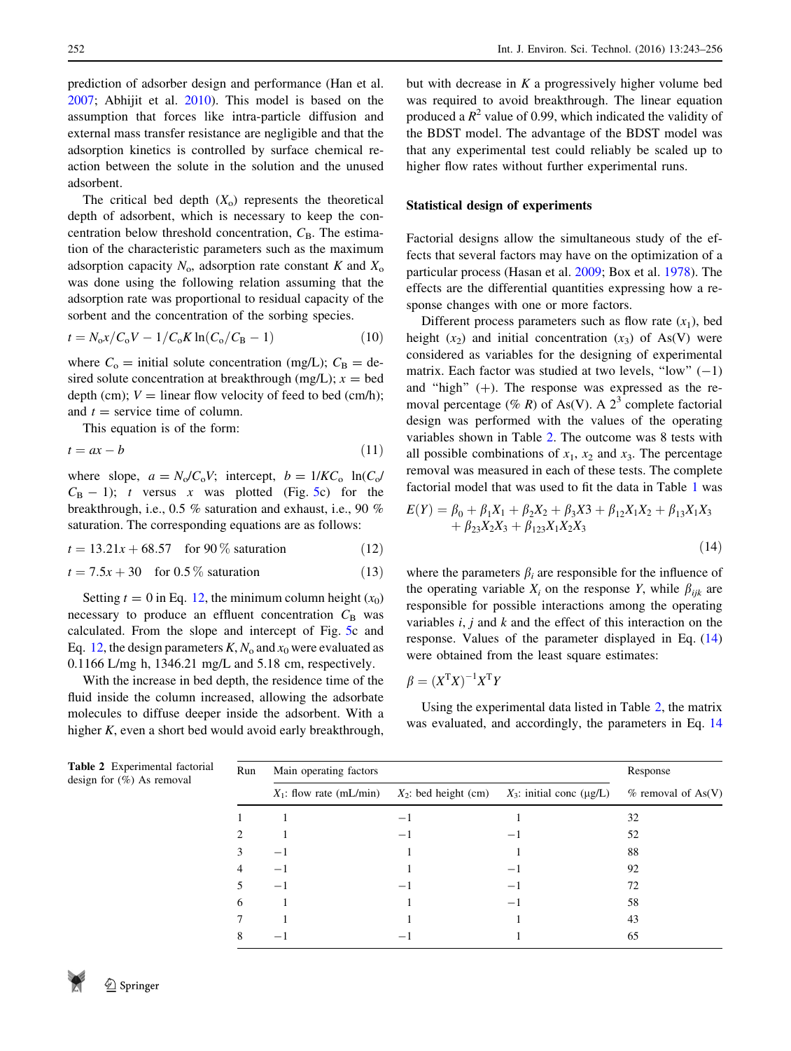prediction of adsorber design and performance (Han et al. [2007;](#page-12-0) Abhijit et al. [2010](#page-12-0)). This model is based on the assumption that forces like intra-particle diffusion and external mass transfer resistance are negligible and that the adsorption kinetics is controlled by surface chemical reaction between the solute in the solution and the unused adsorbent.

The critical bed depth  $(X_0)$  represents the theoretical depth of adsorbent, which is necessary to keep the concentration below threshold concentration,  $C_B$ . The estimation of the characteristic parameters such as the maximum adsorption capacity  $N_0$ , adsorption rate constant K and  $X_0$ was done using the following relation assuming that the adsorption rate was proportional to residual capacity of the sorbent and the concentration of the sorbing species.

$$
t = N_0 x / C_0 V - 1 / C_0 K \ln(C_0 / C_B - 1)
$$
 (10)

where  $C_0$  = initial solute concentration (mg/L);  $C_B$  = desired solute concentration at breakthrough (mg/L);  $x =$  bed depth (cm);  $V =$  linear flow velocity of feed to bed (cm/h); and  $t =$  service time of column.

This equation is of the form:

$$
t = ax - b \tag{11}
$$

where slope,  $a = N_o/C_oV$ ; intercept,  $b = 1/KC_o$  ln(C<sub>o</sub>/  $C_B - 1$ ); t versus x was plotted (Fig. [5](#page-8-0)c) for the breakthrough, i.e., 0.5 % saturation and exhaust, i.e., 90 % saturation. The corresponding equations are as follows:

 $t = 13.21x + 68.57$  for 90 % saturation (12)

$$
t = 7.5x + 30 \quad \text{for } 0.5\% \text{ saturation} \tag{13}
$$

Setting  $t = 0$  in Eq. 12, the minimum column height  $(x_0)$ necessary to produce an effluent concentration  $C_B$  was calculated. From the slope and intercept of Fig. [5](#page-8-0)c and Eq. 12, the design parameters  $K$ ,  $N_0$  and  $x_0$  were evaluated as 0.1166 L/mg h, 1346.21 mg/L and 5.18 cm, respectively.

With the increase in bed depth, the residence time of the fluid inside the column increased, allowing the adsorbate molecules to diffuse deeper inside the adsorbent. With a higher K, even a short bed would avoid early breakthrough,

but with decrease in  $K$  a progressively higher volume bed was required to avoid breakthrough. The linear equation produced a  $R^2$  value of 0.99, which indicated the validity of the BDST model. The advantage of the BDST model was that any experimental test could reliably be scaled up to higher flow rates without further experimental runs.

#### Statistical design of experiments

Factorial designs allow the simultaneous study of the effects that several factors may have on the optimization of a particular process (Hasan et al. [2009](#page-12-0); Box et al. [1978](#page-12-0)). The effects are the differential quantities expressing how a response changes with one or more factors.

Different process parameters such as flow rate  $(x_1)$ , bed height  $(x_2)$  and initial concentration  $(x_3)$  of As(V) were considered as variables for the designing of experimental matrix. Each factor was studied at two levels, "low"  $(-1)$ and "high"  $(+)$ . The response was expressed as the removal percentage (% R) of As(V). A  $2^3$  complete factorial design was performed with the values of the operating variables shown in Table 2. The outcome was 8 tests with all possible combinations of  $x_1$ ,  $x_2$  and  $x_3$ . The percentage removal was measured in each of these tests. The complete factorial model that was used to fit the data in Table [1](#page-3-0) was

$$
E(Y) = \beta_0 + \beta_1 X_1 + \beta_2 X_2 + \beta_3 X_3 + \beta_{12} X_1 X_2 + \beta_{13} X_1 X_3 + \beta_{23} X_2 X_3 + \beta_{123} X_1 X_2 X_3
$$
\n(14)

where the parameters  $\beta_i$  are responsible for the influence of the operating variable  $X_i$  on the response Y, while  $\beta_{ijk}$  are responsible for possible interactions among the operating variables  $i, j$  and  $k$  and the effect of this interaction on the response. Values of the parameter displayed in Eq. (14) were obtained from the least square estimates:

$$
\beta = (X^{\mathrm{T}}X)^{-1}X^{\mathrm{T}}Y
$$

Using the experimental data listed in Table 2, the matrix was evaluated, and accordingly, the parameters in Eq. 14

| torial<br>Run  | Main operating factors     | Response |                                                     |                      |
|----------------|----------------------------|----------|-----------------------------------------------------|----------------------|
|                | $X_1$ : flow rate (mL/min) |          | $X_2$ : bed height (cm) $X_3$ : initial conc (µg/L) | $%$ removal of As(V) |
|                |                            |          |                                                     | 32                   |
| $\mathfrak{D}$ |                            | — 1      | $-1$                                                | 52                   |
| 3              | $-1$                       |          |                                                     | 88                   |
| 4              | $-1$                       |          | — 1                                                 | 92                   |
| 5              | $-1$                       |          |                                                     | 72                   |
| 6              |                            |          | $-$                                                 | 58                   |
|                |                            |          |                                                     | 43                   |
| 8              |                            |          |                                                     | 65                   |

Table 2 Experimental fac design for  $(\%)$  As remova

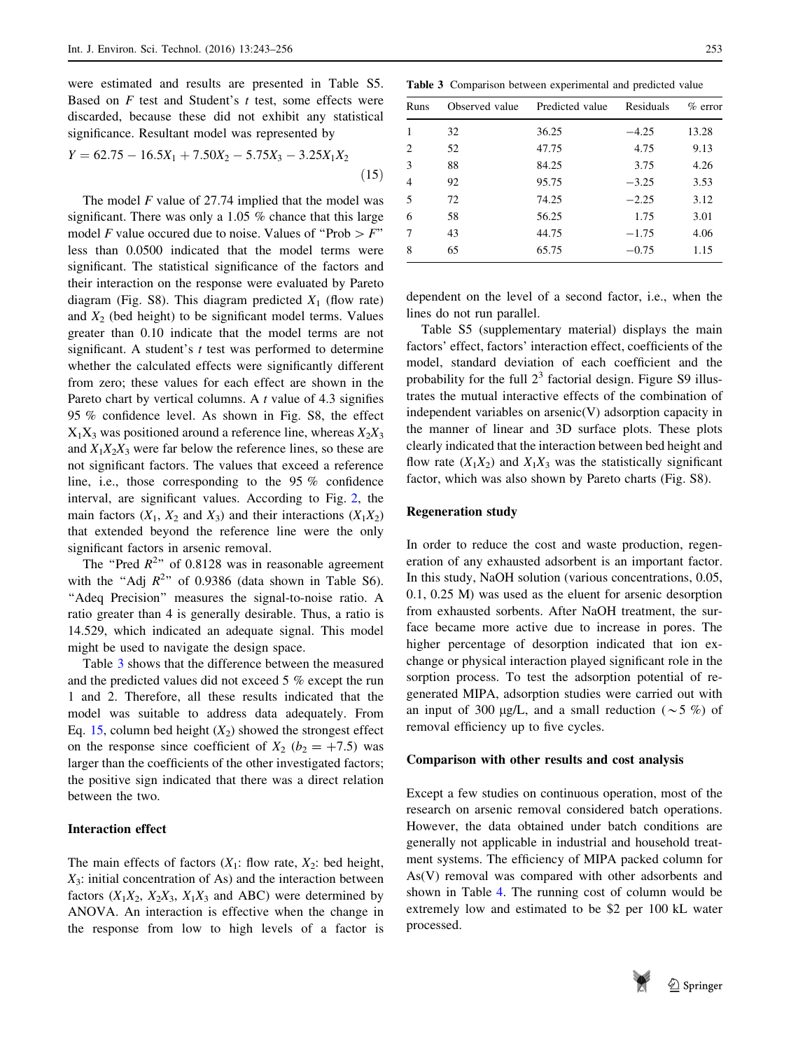were estimated and results are presented in Table S5. Based on  $F$  test and Student's  $t$  test, some effects were discarded, because these did not exhibit any statistical significance. Resultant model was represented by

$$
Y = 62.75 - 16.5X_1 + 7.50X_2 - 5.75X_3 - 3.25X_1X_2
$$
\n(15)

The model  $F$  value of 27.74 implied that the model was significant. There was only a 1.05 % chance that this large model F value occured due to noise. Values of "Prob  $\geq$  F" less than 0.0500 indicated that the model terms were significant. The statistical significance of the factors and their interaction on the response were evaluated by Pareto diagram (Fig. S8). This diagram predicted  $X_1$  (flow rate) and  $X_2$  (bed height) to be significant model terms. Values greater than 0.10 indicate that the model terms are not significant. A student's  $t$  test was performed to determine whether the calculated effects were significantly different from zero; these values for each effect are shown in the Pareto chart by vertical columns. A  $t$  value of 4.3 signifies 95 % confidence level. As shown in Fig. S8, the effect  $X_1X_3$  was positioned around a reference line, whereas  $X_2X_3$ and  $X_1X_2X_3$  were far below the reference lines, so these are not significant factors. The values that exceed a reference line, i.e., those corresponding to the 95 % confidence interval, are significant values. According to Fig. [2,](#page-4-0) the main factors  $(X_1, X_2 \text{ and } X_3)$  and their interactions  $(X_1X_2)$ that extended beyond the reference line were the only significant factors in arsenic removal.

The "Pred  $R^2$ " of 0.8128 was in reasonable agreement with the "Adj  $R^2$ " of 0.9386 (data shown in Table S6). "Adeq Precision" measures the signal-to-noise ratio. A ratio greater than 4 is generally desirable. Thus, a ratio is 14.529, which indicated an adequate signal. This model might be used to navigate the design space.

Table 3 shows that the difference between the measured and the predicted values did not exceed 5 % except the run 1 and 2. Therefore, all these results indicated that the model was suitable to address data adequately. From Eq. 15, column bed height  $(X_2)$  showed the strongest effect on the response since coefficient of  $X_2$  ( $b_2 = +7.5$ ) was larger than the coefficients of the other investigated factors; the positive sign indicated that there was a direct relation between the two.

#### Interaction effect

The main effects of factors  $(X_1:$  flow rate,  $X_2:$  bed height,  $X_3$ : initial concentration of As) and the interaction between factors  $(X_1X_2, X_2X_3, X_1X_3$  and ABC) were determined by ANOVA. An interaction is effective when the change in the response from low to high levels of a factor is

Table 3 Comparison between experimental and predicted value

| Runs           | Observed value | Predicted value | Residuals | $\%$ error |
|----------------|----------------|-----------------|-----------|------------|
| $\mathbf{1}$   | 32             | 36.25           | $-4.25$   | 13.28      |
| $\overline{c}$ | 52             | 47.75           | 4.75      | 9.13       |
| 3              | 88             | 84.25           | 3.75      | 4.26       |
| $\overline{4}$ | 92             | 95.75           | $-3.25$   | 3.53       |
| 5              | 72             | 74.25           | $-2.25$   | 3.12       |
| 6              | 58             | 56.25           | 1.75      | 3.01       |
| 7              | 43             | 44.75           | $-1.75$   | 4.06       |
| 8              | 65             | 65.75           | $-0.75$   | 1.15       |
|                |                |                 |           |            |

dependent on the level of a second factor, i.e., when the lines do not run parallel.

Table S5 (supplementary material) displays the main factors' effect, factors' interaction effect, coefficients of the model, standard deviation of each coefficient and the probability for the full  $2<sup>3</sup>$  factorial design. Figure S9 illustrates the mutual interactive effects of the combination of independent variables on arsenic(V) adsorption capacity in the manner of linear and 3D surface plots. These plots clearly indicated that the interaction between bed height and flow rate  $(X_1X_2)$  and  $X_1X_3$  was the statistically significant factor, which was also shown by Pareto charts (Fig. S8).

#### Regeneration study

In order to reduce the cost and waste production, regeneration of any exhausted adsorbent is an important factor. In this study, NaOH solution (various concentrations, 0.05, 0.1, 0.25 M) was used as the eluent for arsenic desorption from exhausted sorbents. After NaOH treatment, the surface became more active due to increase in pores. The higher percentage of desorption indicated that ion exchange or physical interaction played significant role in the sorption process. To test the adsorption potential of regenerated MIPA, adsorption studies were carried out with an input of 300  $\mu$ g/L, and a small reduction ( $\sim$  5 %) of removal efficiency up to five cycles.

## Comparison with other results and cost analysis

Except a few studies on continuous operation, most of the research on arsenic removal considered batch operations. However, the data obtained under batch conditions are generally not applicable in industrial and household treatment systems. The efficiency of MIPA packed column for As(V) removal was compared with other adsorbents and shown in Table [4.](#page-11-0) The running cost of column would be extremely low and estimated to be \$2 per 100 kL water processed.

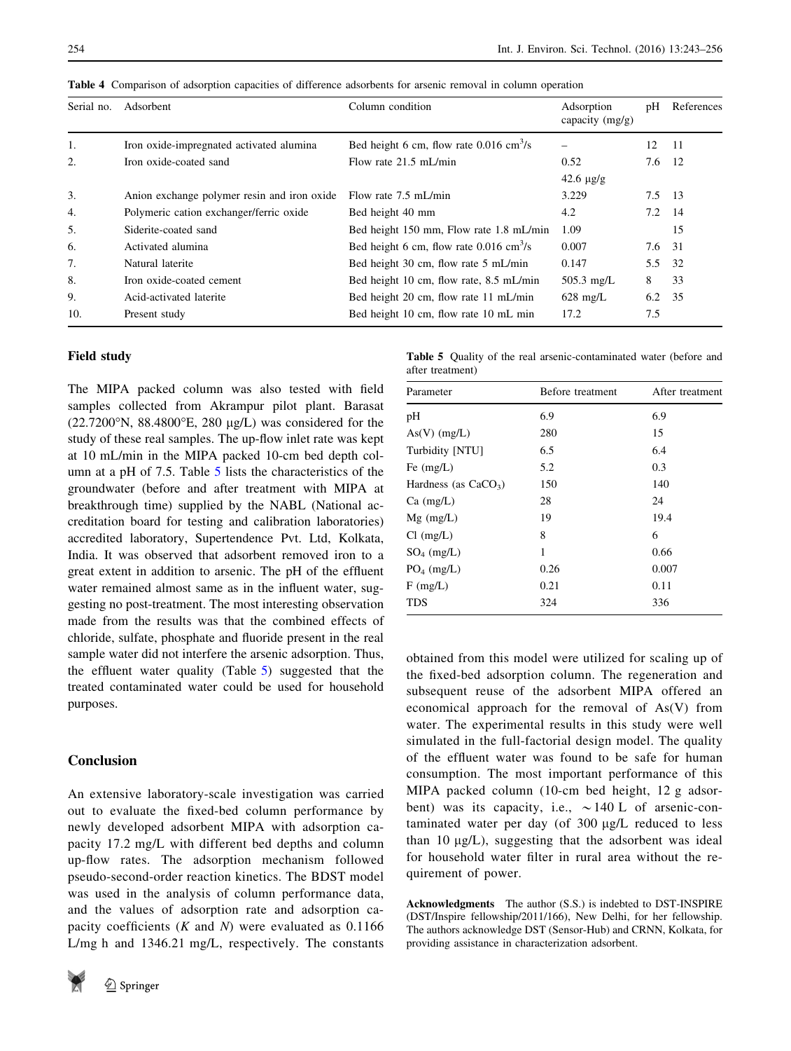| Serial no. | Adsorbent                                   | Column condition                                      | Adsorption<br>capacity $(mg/g)$ | pH       | References |
|------------|---------------------------------------------|-------------------------------------------------------|---------------------------------|----------|------------|
| 1.         | Iron oxide-impregnated activated alumina    | Bed height 6 cm, flow rate $0.016$ cm <sup>3</sup> /s |                                 | 12       | - 11       |
| 2.         | Iron oxide-coated sand                      | Flow rate 21.5 mL/min                                 | 0.52                            | 7.6 12   |            |
|            |                                             |                                                       | $42.6 \text{ µg/g}$             |          |            |
| 3.         | Anion exchange polymer resin and iron oxide | Flow rate 7.5 mL/min                                  | 3.229                           | 7.5 13   |            |
| 4.         | Polymeric cation exchanger/ferric oxide     | Bed height 40 mm                                      | 4.2                             | $7.2$ 14 |            |
| 5.         | Siderite-coated sand                        | Bed height 150 mm, Flow rate 1.8 mL/min               | 1.09                            |          | 15         |
| 6.         | Activated alumina                           | Bed height 6 cm, flow rate $0.016$ cm <sup>3</sup> /s | 0.007                           | 7.6      | 31         |
| 7.         | Natural laterite                            | Bed height 30 cm, flow rate 5 mL/min                  | 0.147                           | 5.5      | - 32       |
| 8.         | Iron oxide-coated cement                    | Bed height 10 cm, flow rate, 8.5 mL/min               | $505.3$ mg/L                    | 8        | 33         |
| 9.         | Acid-activated laterite                     | Bed height 20 cm, flow rate 11 mL/min                 | $628 \text{ mg/L}$              | 6.2      | 35         |
| 10.        | Present study                               | Bed height 10 cm, flow rate 10 mL min                 | 17.2                            | 7.5      |            |

<span id="page-11-0"></span>Table 4 Comparison of adsorption capacities of difference adsorbents for arsenic removal in column operation

## Field study

The MIPA packed column was also tested with field samples collected from Akrampur pilot plant. Barasat  $(22.7200\text{°N}, 88.4800\text{°E}, 280 \mu g/L)$  was considered for the study of these real samples. The up-flow inlet rate was kept at 10 mL/min in the MIPA packed 10-cm bed depth column at a pH of 7.5. Table 5 lists the characteristics of the groundwater (before and after treatment with MIPA at breakthrough time) supplied by the NABL (National accreditation board for testing and calibration laboratories) accredited laboratory, Supertendence Pvt. Ltd, Kolkata, India. It was observed that adsorbent removed iron to a great extent in addition to arsenic. The pH of the effluent water remained almost same as in the influent water, suggesting no post-treatment. The most interesting observation made from the results was that the combined effects of chloride, sulfate, phosphate and fluoride present in the real sample water did not interfere the arsenic adsorption. Thus, the effluent water quality (Table 5) suggested that the treated contaminated water could be used for household purposes.

# Conclusion

An extensive laboratory-scale investigation was carried out to evaluate the fixed-bed column performance by newly developed adsorbent MIPA with adsorption capacity 17.2 mg/L with different bed depths and column up-flow rates. The adsorption mechanism followed pseudo-second-order reaction kinetics. The BDST model was used in the analysis of column performance data, and the values of adsorption rate and adsorption capacity coefficients  $(K \text{ and } N)$  were evaluated as 0.1166 L/mg h and 1346.21 mg/L, respectively. The constants



Table 5 Quality of the real arsenic-contaminated water (before and after treatment)

| Parameter              | Before treatment | After treatment |  |  |
|------------------------|------------------|-----------------|--|--|
| pН                     | 6.9              | 6.9             |  |  |
| $As(V)$ (mg/L)         | 280              | 15              |  |  |
| Turbidity [NTU]        | 6.5              | 6.4             |  |  |
| Fe $(mg/L)$            | 5.2              | 0.3             |  |  |
| Hardness (as $CaCO3$ ) | 150              | 140             |  |  |
| $Ca \ (mg/L)$          | 28               | 24              |  |  |
| $Mg$ (mg/L)            | 19               | 19.4            |  |  |
| $Cl$ (mg/L)            | 8                | 6               |  |  |
| $SO_4$ (mg/L)          | 1                | 0.66            |  |  |
| $PO4$ (mg/L)           | 0.26             | 0.007           |  |  |
| $F$ (mg/L)             | 0.21             | 0.11            |  |  |
| <b>TDS</b>             | 324              | 336             |  |  |

obtained from this model were utilized for scaling up of the fixed-bed adsorption column. The regeneration and subsequent reuse of the adsorbent MIPA offered an economical approach for the removal of As(V) from water. The experimental results in this study were well simulated in the full-factorial design model. The quality of the effluent water was found to be safe for human consumption. The most important performance of this MIPA packed column (10-cm bed height, 12 g adsorbent) was its capacity, i.e.,  $\sim$  140 L of arsenic-contaminated water per day (of  $300 \mu g/L$  reduced to less than 10  $\mu$ g/L), suggesting that the adsorbent was ideal for household water filter in rural area without the requirement of power.

Acknowledgments The author (S.S.) is indebted to DST-INSPIRE (DST/Inspire fellowship/2011/166), New Delhi, for her fellowship. The authors acknowledge DST (Sensor-Hub) and CRNN, Kolkata, for providing assistance in characterization adsorbent.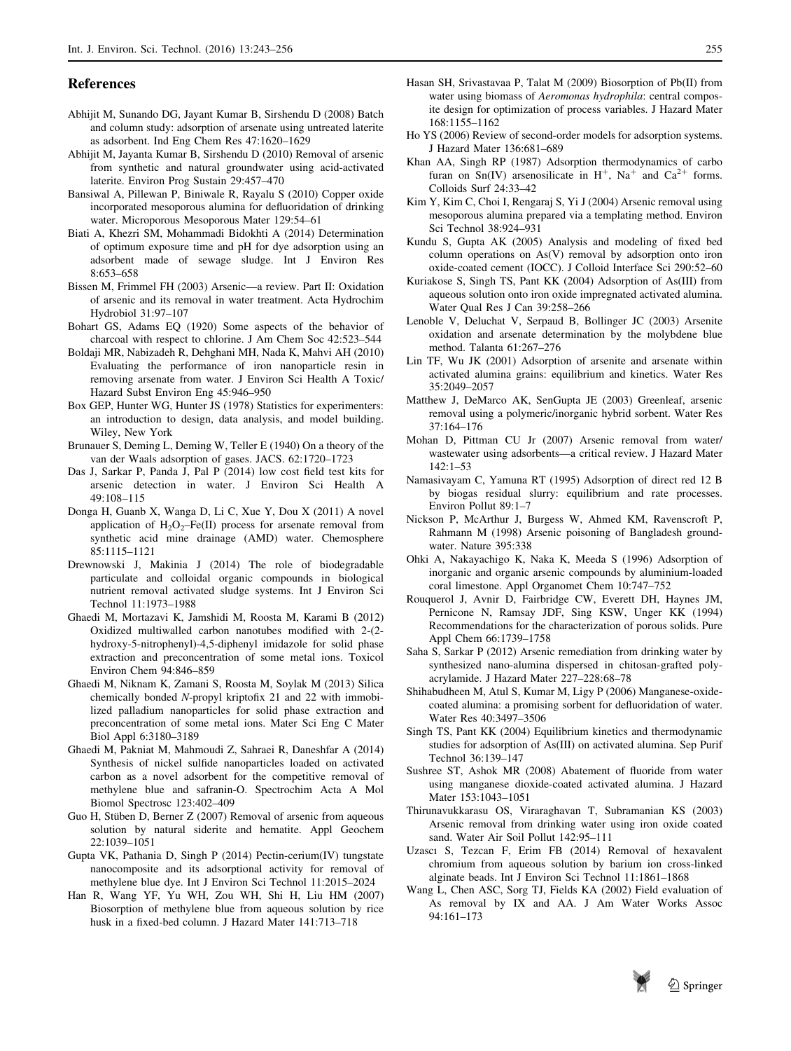#### <span id="page-12-0"></span>References

- Abhijit M, Sunando DG, Jayant Kumar B, Sirshendu D (2008) Batch and column study: adsorption of arsenate using untreated laterite as adsorbent. Ind Eng Chem Res 47:1620–1629
- Abhijit M, Jayanta Kumar B, Sirshendu D (2010) Removal of arsenic from synthetic and natural groundwater using acid-activated laterite. Environ Prog Sustain 29:457–470
- Bansiwal A, Pillewan P, Biniwale R, Rayalu S (2010) Copper oxide incorporated mesoporous alumina for defluoridation of drinking water. Microporous Mesoporous Mater 129:54–61
- Biati A, Khezri SM, Mohammadi Bidokhti A (2014) Determination of optimum exposure time and pH for dye adsorption using an adsorbent made of sewage sludge. Int J Environ Res 8:653–658
- Bissen M, Frimmel FH (2003) Arsenic—a review. Part II: Oxidation of arsenic and its removal in water treatment. Acta Hydrochim Hydrobiol 31:97–107
- Bohart GS, Adams EQ (1920) Some aspects of the behavior of charcoal with respect to chlorine. J Am Chem Soc 42:523–544
- Boldaji MR, Nabizadeh R, Dehghani MH, Nada K, Mahvi AH (2010) Evaluating the performance of iron nanoparticle resin in removing arsenate from water. J Environ Sci Health A Toxic/ Hazard Subst Environ Eng 45:946–950
- Box GEP, Hunter WG, Hunter JS (1978) Statistics for experimenters: an introduction to design, data analysis, and model building. Wiley, New York
- Brunauer S, Deming L, Deming W, Teller E (1940) On a theory of the van der Waals adsorption of gases. JACS. 62:1720–1723
- Das J, Sarkar P, Panda J, Pal P (2014) low cost field test kits for arsenic detection in water. J Environ Sci Health A 49:108–115
- Donga H, Guanb X, Wanga D, Li C, Xue Y, Dou X (2011) A novel application of  $H_2O_2$ –Fe(II) process for arsenate removal from synthetic acid mine drainage (AMD) water. Chemosphere 85:1115–1121
- Drewnowski J, Makinia J (2014) The role of biodegradable particulate and colloidal organic compounds in biological nutrient removal activated sludge systems. Int J Environ Sci Technol 11:1973–1988
- Ghaedi M, Mortazavi K, Jamshidi M, Roosta M, Karami B (2012) Oxidized multiwalled carbon nanotubes modified with 2-(2 hydroxy-5-nitrophenyl)-4,5-diphenyl imidazole for solid phase extraction and preconcentration of some metal ions. Toxicol Environ Chem 94:846–859
- Ghaedi M, Niknam K, Zamani S, Roosta M, Soylak M (2013) Silica chemically bonded N-propyl kriptofix 21 and 22 with immobilized palladium nanoparticles for solid phase extraction and preconcentration of some metal ions. Mater Sci Eng C Mater Biol Appl 6:3180–3189
- Ghaedi M, Pakniat M, Mahmoudi Z, Sahraei R, Daneshfar A (2014) Synthesis of nickel sulfide nanoparticles loaded on activated carbon as a novel adsorbent for the competitive removal of methylene blue and safranin-O. Spectrochim Acta A Mol Biomol Spectrosc 123:402–409
- Guo H, Stüben D, Berner Z (2007) Removal of arsenic from aqueous solution by natural siderite and hematite. Appl Geochem 22:1039–1051
- Gupta VK, Pathania D, Singh P (2014) Pectin-cerium(IV) tungstate nanocomposite and its adsorptional activity for removal of methylene blue dye. Int J Environ Sci Technol 11:2015–2024
- Han R, Wang YF, Yu WH, Zou WH, Shi H, Liu HM (2007) Biosorption of methylene blue from aqueous solution by rice husk in a fixed-bed column. J Hazard Mater 141:713–718
- Hasan SH, Srivastavaa P, Talat M (2009) Biosorption of Pb(II) from water using biomass of Aeromonas hydrophila: central composite design for optimization of process variables. J Hazard Mater 168:1155–1162
- Ho YS (2006) Review of second-order models for adsorption systems. J Hazard Mater 136:681–689
- Khan AA, Singh RP (1987) Adsorption thermodynamics of carbo furan on  $\text{Sn}(IV)$  arsenosilicate in H<sup>+</sup>, Na<sup>+</sup> and Ca<sup>2+</sup> forms. Colloids Surf 24:33–42
- Kim Y, Kim C, Choi I, Rengaraj S, Yi J (2004) Arsenic removal using mesoporous alumina prepared via a templating method. Environ Sci Technol 38:924–931
- Kundu S, Gupta AK (2005) Analysis and modeling of fixed bed column operations on As(V) removal by adsorption onto iron oxide-coated cement (IOCC). J Colloid Interface Sci 290:52–60
- Kuriakose S, Singh TS, Pant KK (2004) Adsorption of As(III) from aqueous solution onto iron oxide impregnated activated alumina. Water Qual Res J Can 39:258–266
- Lenoble V, Deluchat V, Serpaud B, Bollinger JC (2003) Arsenite oxidation and arsenate determination by the molybdene blue method. Talanta 61:267–276
- Lin TF, Wu JK (2001) Adsorption of arsenite and arsenate within activated alumina grains: equilibrium and kinetics. Water Res 35:2049–2057
- Matthew J, DeMarco AK, SenGupta JE (2003) Greenleaf, arsenic removal using a polymeric/inorganic hybrid sorbent. Water Res 37:164–176
- Mohan D, Pittman CU Jr (2007) Arsenic removal from water/ wastewater using adsorbents—a critical review. J Hazard Mater 142:1–53
- Namasivayam C, Yamuna RT (1995) Adsorption of direct red 12 B by biogas residual slurry: equilibrium and rate processes. Environ Pollut 89:1–7
- Nickson P, McArthur J, Burgess W, Ahmed KM, Ravenscroft P, Rahmann M (1998) Arsenic poisoning of Bangladesh groundwater. Nature 395:338
- Ohki A, Nakayachigo K, Naka K, Meeda S (1996) Adsorption of inorganic and organic arsenic compounds by aluminium-loaded coral limestone. Appl Organomet Chem 10:747–752
- Rouquerol J, Avnir D, Fairbridge CW, Everett DH, Haynes JM, Pernicone N, Ramsay JDF, Sing KSW, Unger KK (1994) Recommendations for the characterization of porous solids. Pure Appl Chem 66:1739–1758
- Saha S, Sarkar P (2012) Arsenic remediation from drinking water by synthesized nano-alumina dispersed in chitosan-grafted polyacrylamide. J Hazard Mater 227–228:68–78
- Shihabudheen M, Atul S, Kumar M, Ligy P (2006) Manganese-oxidecoated alumina: a promising sorbent for defluoridation of water. Water Res 40:3497–3506
- Singh TS, Pant KK (2004) Equilibrium kinetics and thermodynamic studies for adsorption of As(III) on activated alumina. Sep Purif Technol 36:139–147
- Sushree ST, Ashok MR (2008) Abatement of fluoride from water using manganese dioxide-coated activated alumina. J Hazard Mater 153:1043–1051
- Thirunavukkarasu OS, Viraraghavan T, Subramanian KS (2003) Arsenic removal from drinking water using iron oxide coated sand. Water Air Soil Pollut 142:95–111
- Uzascı S, Tezcan F, Erim FB (2014) Removal of hexavalent chromium from aqueous solution by barium ion cross-linked alginate beads. Int J Environ Sci Technol 11:1861–1868
- Wang L, Chen ASC, Sorg TJ, Fields KA (2002) Field evaluation of As removal by IX and AA. J Am Water Works Assoc 94:161–173